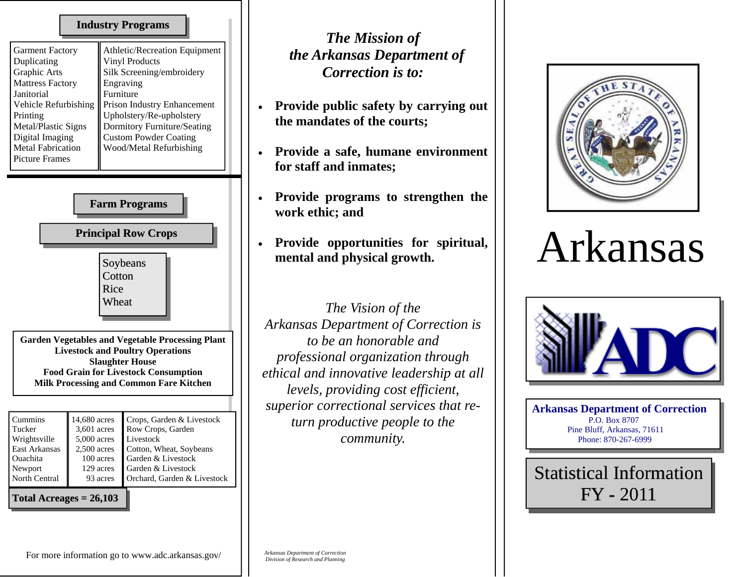## **Industry Programs**

| <b>Garment Factory</b><br>Duplicating<br>Graphic Arts<br><b>Mattress Factory</b><br><b>Janitorial</b> | <b>Athletic/Recreation Equipment</b><br>Vinyl Products<br>Silk Screening/embroidery<br>Engraving<br>Furniture |
|-------------------------------------------------------------------------------------------------------|---------------------------------------------------------------------------------------------------------------|
| Vehicle Refurbishing                                                                                  | <b>Prison Industry Enhancement</b>                                                                            |
| Printing<br>Metal/Plastic Signs                                                                       | Upholstery/Re-upholstery<br><b>Dormitory Furniture/Seating</b>                                                |
| Digital Imaging                                                                                       | <b>Custom Powder Coating</b>                                                                                  |
| <b>Metal Fabrication</b><br><b>Picture Frames</b>                                                     | Wood/Metal Refurbishing                                                                                       |
|                                                                                                       |                                                                                                               |

| <b>Principal Row Crops</b>                                                                                                                                                                                                    |  |  |  |  |  |
|-------------------------------------------------------------------------------------------------------------------------------------------------------------------------------------------------------------------------------|--|--|--|--|--|
| Soybeans<br>Cotton<br>Rice<br>Wheat                                                                                                                                                                                           |  |  |  |  |  |
| <b>Garden Vegetables and Vegetable Processing Plant</b><br><b>Livestock and Poultry Operations</b><br><b>Slaughter House</b><br><b>Food Grain for Livestock Consumption</b><br><b>Milk Processing and Common Fare Kitchen</b> |  |  |  |  |  |
|                                                                                                                                                                                                                               |  |  |  |  |  |

## *The Mission of the Arkansas Department of Correction is to:*

- **Provide public safety by carrying out the mandates of the courts;**
- **Provide a safe, humane environment for staff and inmates;**
- **Provide programs to strengthen the work ethic; and**
- **Provide opportunities for spiritual, mental and physical growth.**

*The Vision of the Arkansas Department of Correction is to be an honorable and professional organization through ethical and innovative leadership at all levels, providing cost efficient, superior correctional services that return productive people to the community.* 



## Arkansas



**Arkansas Department of Correction**  P.O. Box 8707 Pine Bluff, Arkansas, 71611 Phone: 870-267-6999